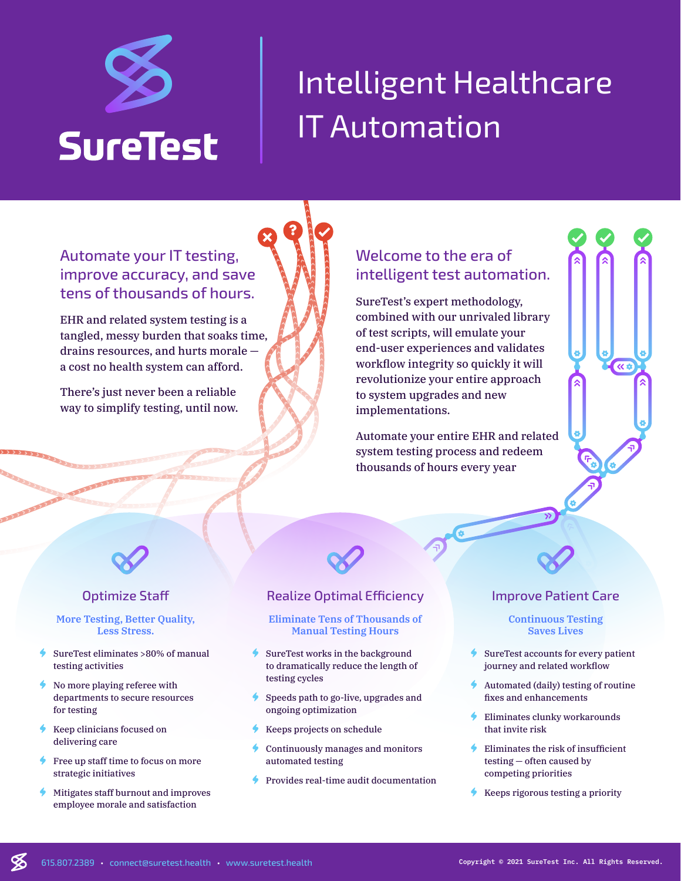

# Intelligent Healthcare IT Automation

# Automate your IT testing, improve accuracy, and save tens of thousands of hours.

EHR and related system testing is a tangled, messy burden that soaks time, drains resources, and hurts morale a cost no health system can afford.

There's just never been a reliable way to simplify testing, until now.

## Welcome to the era of intelligent test automation.

SureTest's expert methodology, combined with our unrivaled library of test scripts, will emulate your end-user experiences and validates workflow integrity so quickly it will revolutionize your entire approach to system upgrades and new implementations.

Automate your entire EHR and related system testing process and redeem thousands of hours every year



## Optimize Staff

#### **More Testing, Better Quality, Less Stress.**

- SureTest eliminates >80% of manual testing activities
- <sup>t</sup> No more playing referee with departments to secure resources for testing
- Keep clinicians focused on delivering care

℅

- Free up staff time to focus on more strategic initiatives
- **•** Mitigates staff burnout and improves employee morale and satisfaction

## Realize Optimal Efficiency

**?**

#### **Eliminate Tens of Thousands of Manual Testing Hours**

- SureTest works in the background to dramatically reduce the length of testing cycles
- Speeds path to go-live, upgrades and ongoing optimization
- Keeps projects on schedule
- Continuously manages and monitors automated testing
- Provides real-time audit documentation

### Improve Patient Care

 $\overline{\alpha}$ 

#### **Continuous Testing Saves Lives**

- SureTest accounts for every patient journey and related workflow
- Automated (daily) testing of routine fixes and enhancements
- Eliminates clunky workarounds that invite risk
- Eliminates the risk of insufficient testing — often caused by competing priorities
- $\bullet$  Keeps rigorous testing a priority